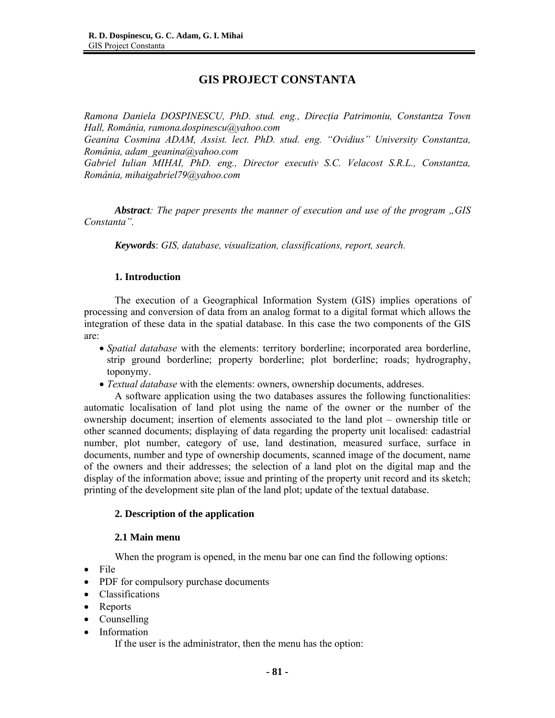# **GIS PROJECT CONSTANTA**

*Ramona Daniela DOSPINESCU, PhD. stud. eng., Direcţia Patrimoniu, Constantza Town Hall, România, ramona.dospinescu@yahoo.com Geanina Cosmina ADAM, Assist. lect. PhD. stud. eng. "Ovidius" University Constantza, România, adam\_geanina@yahoo.com Gabriel Iulian MIHAI, PhD. eng., Director executiv S.C. Velacost S.R.L., Constantza, România, mihaigabriel79@yahoo.com* 

*Abstract: The paper presents the manner of execution and use of the program "GIS Constanta".*

*Keywords*: *GIS, database, visualization, classifications, report, search.* 

# **1. Introduction**

The execution of a Geographical Information System (GIS) implies operations of processing and conversion of data from an analog format to a digital format which allows the integration of these data in the spatial database. In this case the two components of the GIS are:

- *Spatial database* with the elements: territory borderline; incorporated area borderline, strip ground borderline; property borderline; plot borderline; roads; hydrography, toponymy.
- *Textual database* with the elements: owners, ownership documents, addreses.

A software application using the two databases assures the following functionalities: automatic localisation of land plot using the name of the owner or the number of the ownership document; insertion of elements associated to the land plot – ownership title or other scanned documents; displaying of data regarding the property unit localised: cadastrial number, plot number, category of use, land destination, measured surface, surface in documents, number and type of ownership documents, scanned image of the document, name of the owners and their addresses; the selection of a land plot on the digital map and the display of the information above; issue and printing of the property unit record and its sketch; printing of the development site plan of the land plot; update of the textual database.

# **2. Description of the application**

#### **2.1 Main menu**

When the program is opened, in the menu bar one can find the following options:

- File
- PDF for compulsory purchase documents
- Classifications
- Reports
- Counselling
- Information

If the user is the administrator, then the menu has the option: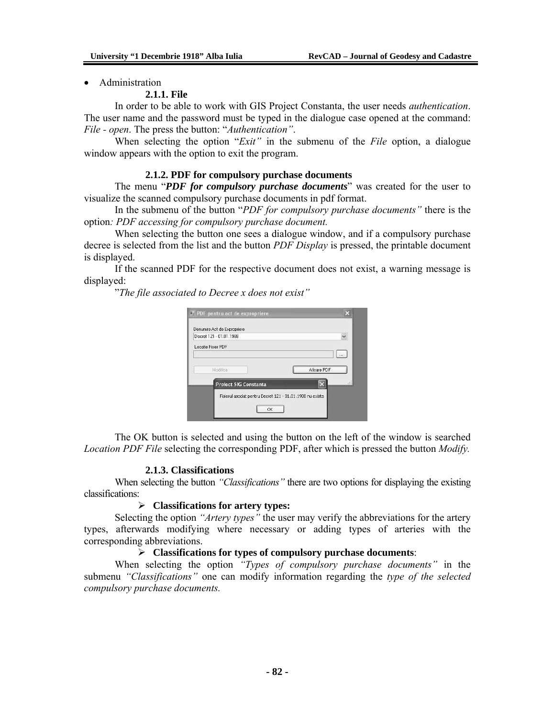• Administration

## **2.1.1. File**

In order to be able to work with GIS Project Constanta, the user needs *authentication*. The user name and the password must be typed in the dialogue case opened at the command: *File - open*. The press the button: "*Authentication"*.

When selecting the option "*Exit"* in the submenu of the *File* option, a dialogue window appears with the option to exit the program.

## **2.1.2. PDF for compulsory purchase documents**

The menu "*PDF for compulsory purchase documents*" was created for the user to visualize the scanned compulsory purchase documents in pdf format.

In the submenu of the button "*PDF for compulsory purchase documents"* there is the option*: PDF accessing for compulsory purchase document.* 

When selecting the button one sees a dialogue window, and if a compulsory purchase decree is selected from the list and the button *PDF Display* is pressed, the printable document is displayed.

If the scanned PDF for the respective document does not exist, a warning message is displayed:

"*The file associated to Decree x does not exist"* 

| Decret 121 - 01.01.1988      |                                                           |             |
|------------------------------|-----------------------------------------------------------|-------------|
| Locatie Fisier PDF           |                                                           |             |
|                              |                                                           |             |
| Modifica                     |                                                           | Afisare PDF |
| <b>Project SIG Constanta</b> |                                                           | 122         |
|                              | Fisierul asociat pentru Decret 121 - 01.01.1988 nu exista |             |

The OK button is selected and using the button on the left of the window is searched *Location PDF File* selecting the corresponding PDF, after which is pressed the button *Modify.*

#### **2.1.3. Classifications**

When selecting the button *"Classifications"* there are two options for displaying the existing classifications:

## ¾ **Classifications for artery types:**

Selecting the option *"Artery types"* the user may verify the abbreviations for the artery types, afterwards modifying where necessary or adding types of arteries with the corresponding abbreviations.

# ¾ **Classifications for types of compulsory purchase documents**:

When selecting the option *"Types of compulsory purchase documents"* in the submenu *"Classifications"* one can modify information regarding the *type of the selected compulsory purchase documents.*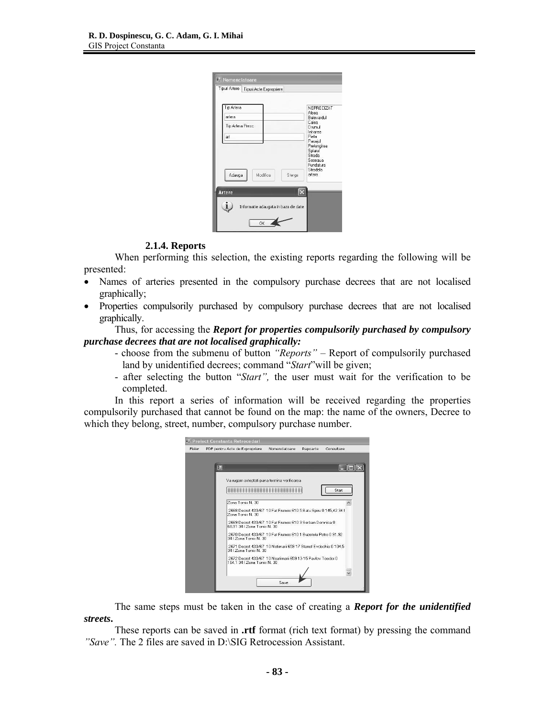| Tipuri Artere   Tipuri Acte Expropriere |                                                                 |
|-----------------------------------------|-----------------------------------------------------------------|
| Tip Artera                              | NEPRECIZAT                                                      |
| artera                                  | Aleea<br>Bulevardul                                             |
| Tip Artera Presc.                       | Calea<br>Drumul                                                 |
| art                                     | Intrarea<br>Piata<br>Pasajul                                    |
| Adauga<br>Modifica<br>Sterge            | Splaiul<br>Strada<br>Soseaua<br>Fundatura<br>Stradela<br>artera |
| <b>Artere</b>                           |                                                                 |
| Informatie adaugata in baza de date     |                                                                 |

# **2.1.4. Reports**

When performing this selection, the existing reports regarding the following will be presented:

- Names of arteries presented in the compulsory purchase decrees that are not localised graphically;
- Properties compulsorily purchased by compulsory purchase decrees that are not localised graphically.

Thus, for accessing the *Report for properties compulsorily purchased by compulsory purchase decrees that are not localised graphically:* 

- choose from the submenu of button *"Reports"* Report of compulsorily purchased land by unidentified decrees; command "*Start*"will be given;
- after selecting the button "*Start",* the user must wait for the verification to be completed.

In this report a series of information will be received regarding the properties compulsorily purchased that cannot be found on the map: the name of the owners, Decree to which they belong, street, number, compulsory purchase number.

| Fisier |   | PDF pentru Acte de Expropriere                                                            | Nomenclatoare | Rapoarte | Consultare |  |
|--------|---|-------------------------------------------------------------------------------------------|---------------|----------|------------|--|
|        |   |                                                                                           |               |          |            |  |
|        | 門 |                                                                                           |               |          |            |  |
|        |   | Va rugam asteptati pana termina verificarea                                               |               |          |            |  |
|        |   |                                                                                           |               |          |            |  |
|        |   |                                                                                           |               |          | Start      |  |
|        |   | Zona Tomis N. 30                                                                          |               |          |            |  |
|        |   | 2668 Decret 433/67 10 Fat Frumos 610 5 Batu Spiru 0 145.42 34 I                           |               |          |            |  |
|        |   | Zona Tomis N. 30                                                                          |               |          |            |  |
|        |   | 2669 Decret 433/67 10 Fat Frumos 610 3 Serban Domnica 0<br>68.91 34   Zona Tomis N. 30    |               |          |            |  |
|        |   | 2670 Decret 433/67 10 Fat Frumos 610 1 Buzetelu Petre 0 91.92<br>34   Zona Tomis N. 30    |               |          |            |  |
|        |   | 2671 Decret 433/67 10 Netirnarii 659 17 Stanef Eydochia 0 104.5<br>341 Zona Tomis N 30    |               |          |            |  |
|        |   | 2672 Decret 433/67 10 Neatimarii 659 13-15 Pavlov Teodor 0<br>164.1 34   Zona Tomis N. 30 |               |          |            |  |
|        |   |                                                                                           |               |          |            |  |
|        |   |                                                                                           | Save          |          |            |  |

The same steps must be taken in the case of creating a *Report for the unidentified streets***.**

These reports can be saved in **.rtf** format (rich text format) by pressing the command *"Save".* The 2 files are saved in D:\SIG Retrocession Assistant.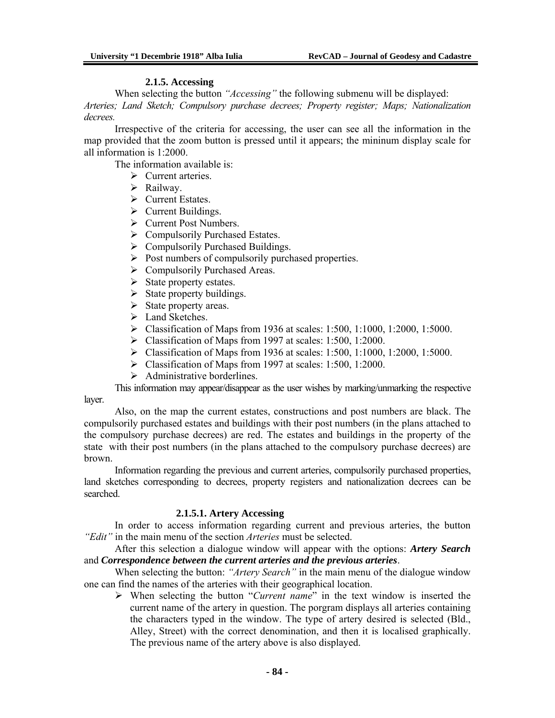## **2.1.5. Accessing**

When selecting the button *"Accessing"* the following submenu will be displayed: *Arteries; Land Sketch; Compulsory purchase decrees; Property register; Maps; Nationalization decrees.*

Irrespective of the criteria for accessing, the user can see all the information in the map provided that the zoom button is pressed until it appears; the mininum display scale for all information is 1:2000.

The information available is:

- $\triangleright$  Current arteries.
- $\triangleright$  Railway.
- $\triangleright$  Current Estates.
- $\triangleright$  Current Buildings.
- ¾ Current Post Numbers.
- $\triangleright$  Compulsorily Purchased Estates.
- $\triangleright$  Compulsorily Purchased Buildings.
- $\triangleright$  Post numbers of compulsorily purchased properties.
- $\triangleright$  Compulsorily Purchased Areas.
- $\triangleright$  State property estates.
- $\triangleright$  State property buildings.
- $\triangleright$  State property areas.
- $\blacktriangleright$  Land Sketches.
- ¾ Classification of Maps from 1936 at scales: 1:500, 1:1000, 1:2000, 1:5000.
- $\triangleright$  Classification of Maps from 1997 at scales: 1:500, 1:2000.
- ¾ Classification of Maps from 1936 at scales: 1:500, 1:1000, 1:2000, 1:5000.
- $\blacktriangleright$  Classification of Maps from 1997 at scales: 1:500, 1:2000.
- $\triangleright$  Administrative borderlines.

This information may appear/disappear as the user wishes by marking/unmarking the respective layer.

Also, on the map the current estates, constructions and post numbers are black. The compulsorily purchased estates and buildings with their post numbers (in the plans attached to the compulsory purchase decrees) are red. The estates and buildings in the property of the state with their post numbers (in the plans attached to the compulsory purchase decrees) are brown.

Information regarding the previous and current arteries, compulsorily purchased properties, land sketches corresponding to decrees, property registers and nationalization decrees can be searched.

# **2.1.5.1. Artery Accessing**

In order to access information regarding current and previous arteries, the button *"Edit"* in the main menu of the section *Arteries* must be selected.

After this selection a dialogue window will appear with the options: *Artery Search* and *Correspondence between the current arteries and the previous arteries*.

When selecting the button: *"Artery Search"* in the main menu of the dialogue window one can find the names of the arteries with their geographical location.

¾ When selecting the button "*Current name*" in the text window is inserted the current name of the artery in question. The porgram displays all arteries containing the characters typed in the window. The type of artery desired is selected (Bld., Alley, Street) with the correct denomination, and then it is localised graphically. The previous name of the artery above is also displayed.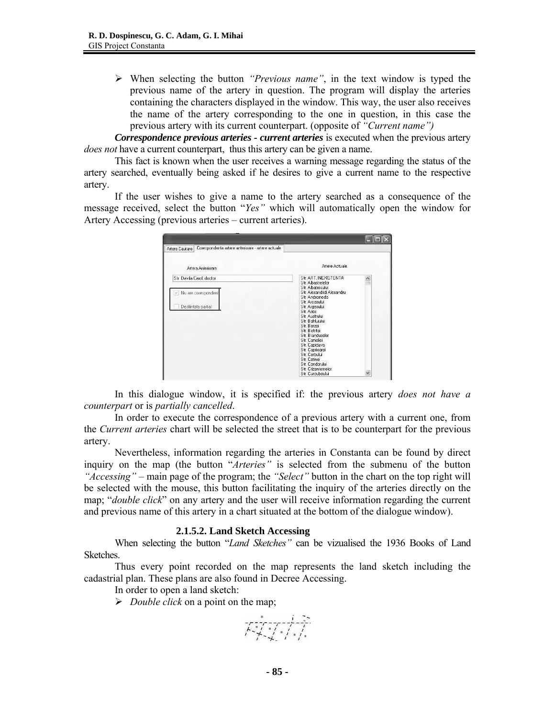¾ When selecting the button *"Previous name"*, in the text window is typed the previous name of the artery in question. The program will display the arteries containing the characters displayed in the window. This way, the user also receives the name of the artery corresponding to the one in question, in this case the previous artery with its current counterpart. (opposite of *"Current name")*

*Correspondence previous arteries - current arteries* is executed when the previous artery *does not* have a current counterpart, thus this artery can be given a name.

This fact is known when the user receives a warning message regarding the status of the artery searched, eventually being asked if he desires to give a current name to the respective artery.

If the user wishes to give a name to the artery searched as a consequence of the message received, select the button "*Yes"* which will automatically open the window for Artery Accessing (previous arteries – current arteries).

| Corespondenta artere anterioare - artere actuale<br>Artere Cautare      |                                                                                                                                                                                                                                                                                                                                                                                                                |           |
|-------------------------------------------------------------------------|----------------------------------------------------------------------------------------------------------------------------------------------------------------------------------------------------------------------------------------------------------------------------------------------------------------------------------------------------------------------------------------------------------------|-----------|
| Artera Anterioara                                                       | Artere Actuale                                                                                                                                                                                                                                                                                                                                                                                                 |           |
| Str. Davila Carol, doctor<br>Nu are corespondent<br>Desfiintata partial | Str. ART.INEXISTENTA<br>Str. Albastrelelor<br>Str. Albatrosului<br>Str. Alexandridi Alexandru<br>Str. Andromeda<br>Str. Arcasului<br>Str. Argesului<br>Str. Aries<br>Str. Austrului<br>Str. Bahlujului<br>Str. Berzei<br>Str. Bistritei<br>Str. Branduselor<br>Str. Cameliei<br>Str. Capidava<br>Str. Caprioarei<br>Str. Cerbului<br>Str. Cetinei<br>Str. Condorului<br>Str. Crizantemelor<br>Str. Curcubeului | $\hat{ }$ |

In this dialogue window, it is specified if: the previous artery *does not have a counterpart* or is *partially cancelled*.

In order to execute the correspondence of a previous artery with a current one, from the *Current arteries* chart will be selected the street that is to be counterpart for the previous artery.

Nevertheless, information regarding the arteries in Constanta can be found by direct inquiry on the map (the button "*Arteries"* is selected from the submenu of the button *"Accessing"* – main page of the program; the *"Select"* button in the chart on the top right will be selected with the mouse, this button facilitating the inquiry of the arteries directly on the map; "*double click*" on any artery and the user will receive information regarding the current and previous name of this artery in a chart situated at the bottom of the dialogue window).

# **2.1.5.2. Land Sketch Accessing**

When selecting the button "*Land Sketches"* can be vizualised the 1936 Books of Land Sketches.

Thus every point recorded on the map represents the land sketch including the cadastrial plan. These plans are also found in Decree Accessing.

In order to open a land sketch:

¾ *Double click* on a point on the map;

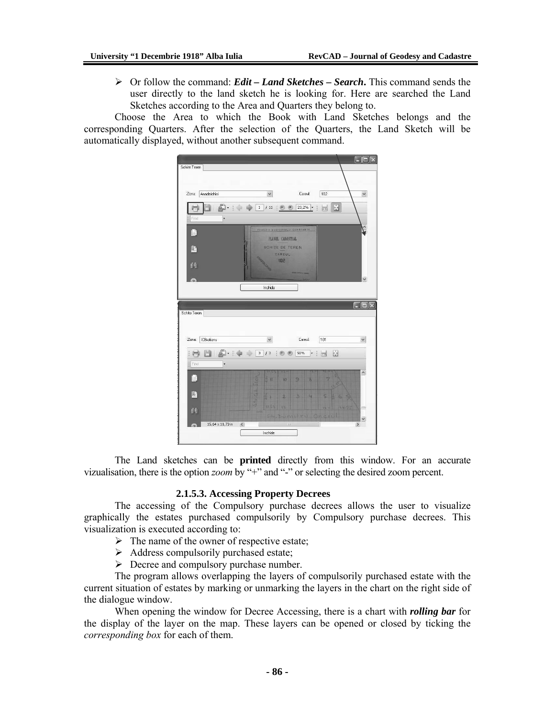¾ Or follow the command: *Edit – Land Sketches – Search***.** This command sends the user directly to the land sketch he is looking for. Here are searched the Land Sketches according to the Area and Quarters they belong to.

Choose the Area to which the Book with Land Sketches belongs and the corresponding Quarters. After the selection of the Quarters, the Land Sketch will be automatically displayed, without another subsequent command.

|                                   |                                                                                      |                                                      |                                         | $\Vert \mathbf{u} \Vert$ |
|-----------------------------------|--------------------------------------------------------------------------------------|------------------------------------------------------|-----------------------------------------|--------------------------|
| Schite Teren                      |                                                                                      |                                                      |                                         |                          |
|                                   |                                                                                      |                                                      |                                         |                          |
| Zona:<br>Anadalchioi              | $\checkmark$                                                                         | Careul:                                              | 102                                     | $\checkmark$             |
| ٠                                 | é)<br>$1\,$<br>111                                                                   | 23,2%<br>$\circ$ $\circ$<br>$\overline{\phantom{a}}$ | 眉<br>$\overline{\overline{1}}$          |                          |
| Find                              |                                                                                      |                                                      |                                         |                          |
| 盾<br>脂<br>硅                       | PRIMARIA MUNICIPIULUI CONSTANTA<br>PLANUL CADASTRAL<br><b>SCHITE DE TEREN</b><br>102 | CAREUL                                               |                                         |                          |
| Э                                 | Inchide                                                                              |                                                      |                                         | Ÿ                        |
|                                   |                                                                                      |                                                      |                                         |                          |
|                                   |                                                                                      |                                                      |                                         | $\square\square\times$   |
| Schite Teren                      |                                                                                      |                                                      |                                         |                          |
|                                   |                                                                                      |                                                      |                                         |                          |
| Zona:<br><b>ICBratianu</b>        | $\checkmark$                                                                         | Careut                                               | 101                                     | $\checkmark$             |
| Ħ<br>Ħ                            | $\mathsf 3$<br>13<br>$\circledast$                                                   | 50%<br>$\cdot$  <br>度                                | $\mathbb{Z}$<br>$\overline{\leftarrow}$ |                          |
| Find<br>٠                         |                                                                                      |                                                      |                                         |                          |
| D                                 | ţ<br>R                                                                               | 9<br>k<br>x                                          |                                         | $\hat{\phantom{a}}$      |
|                                   |                                                                                      |                                                      |                                         |                          |
| 脂                                 | 6.1<br>2                                                                             |                                                      |                                         |                          |
|                                   | ø<br>知友宝<br>स्ति                                                                     |                                                      |                                         | m                        |
| ÉÉ                                |                                                                                      | St. Dumitry Oneiu                                    |                                         |                          |
| $15,64 \times 11,73$ in<br>$\leq$ | Inchide                                                                              | <b>JUJ</b>                                           |                                         | $\geq$                   |

The Land sketches can be **printed** directly from this window. For an accurate vizualisation, there is the option *zoom* by "+" and "-" or selecting the desired zoom percent.

# **2.1.5.3. Accessing Property Decrees**

The accessing of the Compulsory purchase decrees allows the user to visualize graphically the estates purchased compulsorily by Compulsory purchase decrees. This visualization is executed according to:

- $\triangleright$  The name of the owner of respective estate;
- $\triangleright$  Address compulsorily purchased estate;
- $\triangleright$  Decree and compulsory purchase number.

The program allows overlapping the layers of compulsorily purchased estate with the current situation of estates by marking or unmarking the layers in the chart on the right side of the dialogue window.

When opening the window for Decree Accessing, there is a chart with *rolling bar* for the display of the layer on the map. These layers can be opened or closed by ticking the *corresponding box* for each of them.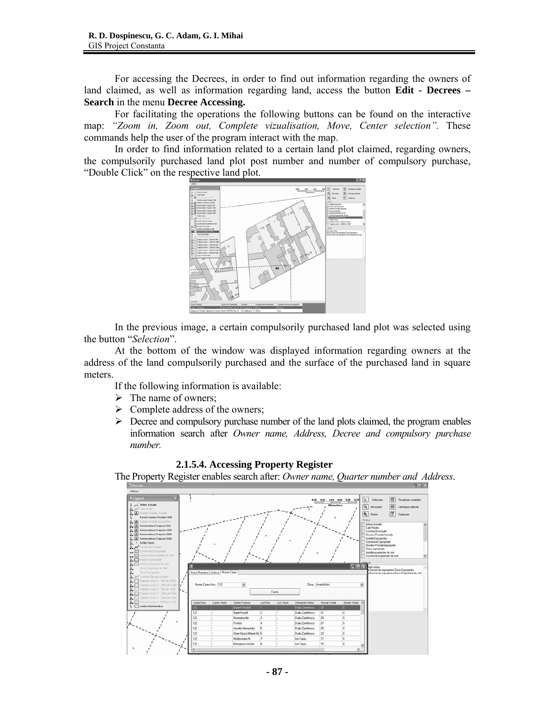For accessing the Decrees, in order to find out information regarding the owners of land claimed, as well as information regarding land, access the button **Edit - Decrees – Search** in the menu **Decree Accessing.**

For facilitating the operations the following buttons can be found on the interactive map: *"Zoom in, Zoom out, Complete vizualisation, Move, Center selection".* These commands help the user of the program interact with the map.

In order to find information related to a certain land plot claimed, regarding owners, the compulsorily purchased land plot post number and number of compulsory purchase, "Double Click" on the respective land plot.



In the previous image, a certain compulsorily purchased land plot was selected using the button "*Selection*".

At the bottom of the window was displayed information regarding owners at the address of the land compulsorily purchased and the surface of the purchased land in square meters.

If the following information is available:

- $\triangleright$  The name of owners;
- $\triangleright$  Complete address of the owners;
- $\triangleright$  Decree and compulsory purchase number of the land plots claimed, the program enables information search after *Owner name, Address, Decree and compulsory purchase number.*



The Property Register enables search after: *Owner name, Quarter number and Address*.

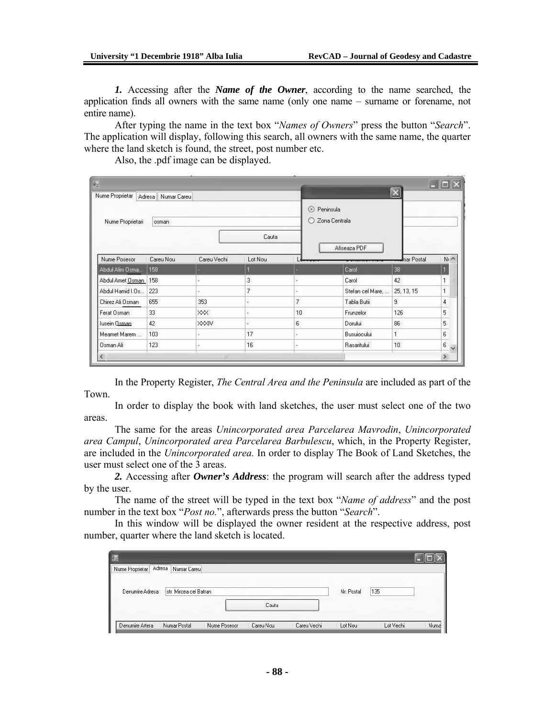*1.* Accessing after the *Name of the Owner*, according to the name searched, the application finds all owners with the same name (only one name – surname or forename, not entire name).

After typing the name in the text box "*Names of Owners*" press the button "*Search*". The application will display, following this search, all owners with the same name, the quarter where the land sketch is found, the street, post number etc.

Also, the .pdf image can be displayed.

| a<br>Nume Proprietar         | Adresa Numar Careu |             |                |                          |                                 |                  | $\left[\overline{\mathsf{x}}\right]$ |                   |
|------------------------------|--------------------|-------------|----------------|--------------------------|---------------------------------|------------------|--------------------------------------|-------------------|
| Nume Proprietari             | osman              |             | Cauta          |                          | Peninsula<br>◉<br>Zona Centrala | Afiseaza PDF     |                                      |                   |
| Nume Posesor                 | Careu Nou          | Careu Vechi | Lot Nou        |                          |                                 |                  | mar Postal                           | N <sub>1</sub>    |
| Abdul Alim Osma              | 158                |             |                |                          |                                 | Carol            | 38                                   |                   |
| Abdul Amet Osman             | 158                |             | 3              |                          |                                 | Carol            | 42                                   |                   |
| Abdul Hamid I.Os             | 223                |             | $\overline{7}$ |                          |                                 | Stefan cel Mare, | 25, 13, 15                           |                   |
| Chirez Ali Osman             | 655                | 353         | œ.             | $\overline{\mathcal{L}}$ |                                 | Tabla Butii      | 9                                    | $\overline{4}$    |
| Ferat Osman                  | 33                 | XXX.        | ċ.             | 10                       |                                 | Frunzelor        | 126                                  | 5                 |
| lusein Osman                 | 42                 | XXXIV       | U)             | 6                        |                                 | Dorului          | 86                                   | 5                 |
| Meamet Marem                 | 103                |             | 17             |                          |                                 | Busuiocului      |                                      | 6                 |
| Osman Ali                    | 123                |             | 16             |                          |                                 | Rasaritului.     | 10                                   | 6<br>$\checkmark$ |
| $\left\langle \right\rangle$ |                    | <b>IIII</b> |                |                          |                                 |                  |                                      |                   |

In the Property Register, *The Central Area and the Peninsula* are included as part of the Town.

In order to display the book with land sketches, the user must select one of the two areas.

The same for the areas *Unincorporated area Parcelarea Mavrodin*, *Unincorporated area Campul*, *Unincorporated area Parcelarea Barbulescu*, which, in the Property Register, are included in the *Unincorporated area.* In order to display The Book of Land Sketches, the user must select one of the 3 areas.

*2.* Accessing after *Owner's Address*: the program will search after the address typed by the user.

The name of the street will be typed in the text box "*Name of address*" and the post number in the text box "*Post no.*", afterwards press the button "*Search*".

In this window will be displayed the owner resident at the respective address, post number, quarter where the land sketch is located.

| 疆                         |                        |              |           |             |            |           |      |
|---------------------------|------------------------|--------------|-----------|-------------|------------|-----------|------|
| Adresa<br>Nume Proprietar | Numar Careu            |              |           |             |            |           |      |
| Denumire Adresa           | str. Mircea cel Batran |              |           |             | Nr. Postal | 135       |      |
|                           |                        |              | Cauta     |             |            |           |      |
| Denumire Artera           | Numar Postal           | Nume Posesor | Careu Nou | Careu Vechi | Lot Nou    | Lot Vechi | Numa |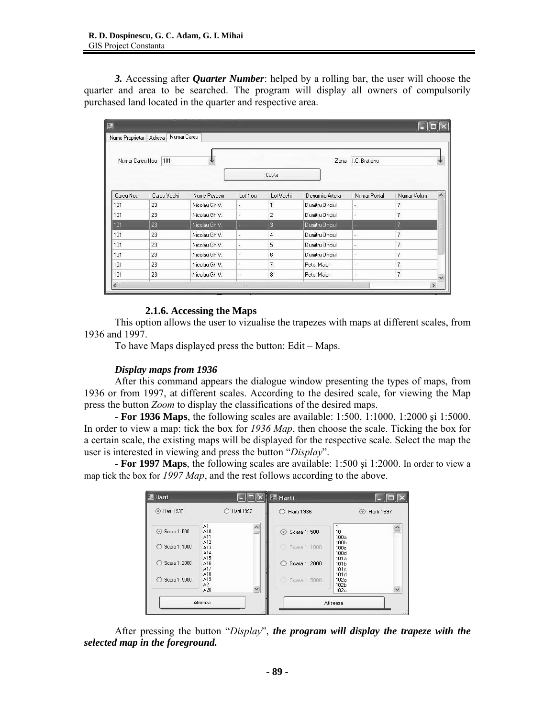*3.* Accessing after *Quarter Number*: helped by a rolling bar, the user will choose the quarter and area to be searched. The program will display all owners of compulsorily purchased land located in the quarter and respective area.

| Nume Proprietar   Adresa<br>Numar Careu Nou | Numar Careu<br>101 |               |         |                | Zona            | I.C. Bratianu            |                          |  |
|---------------------------------------------|--------------------|---------------|---------|----------------|-----------------|--------------------------|--------------------------|--|
|                                             |                    |               |         | Cauta          |                 |                          |                          |  |
| Careu Nou                                   | Careu Vechi        | Nume Posesor  | Lot Nou | Lot Vechi      | Denumire Artera | Numar Postal             | Numar Volum              |  |
| 101                                         | 23                 | Nicolau Gh.V. | ×       | $\mathbf{1}$   | Dumitru Onciul  | $\mathbb{R}^3$           | $\overline{\phantom{a}}$ |  |
| 101                                         | 23                 | Nicolau Gh.V. | g,      | $\overline{c}$ | Dumitru Onciul  | ŵ                        | 7                        |  |
| 101                                         | 23                 | Nicolau Gh.V. |         | $\overline{3}$ | Dumitru Onciul  |                          |                          |  |
| 101                                         | 23                 | Nicolau Gh.V. | ×.      | $\overline{4}$ | Dumitru Onciul  | $\bullet$                | $\overline{7}$           |  |
| 101                                         | 23                 | Nicolau Gh.V. | ×       | 5              | Dumitru Onciul  | $\mathbb{R}^3$           | $\overline{\mathcal{L}}$ |  |
| 101                                         | 23                 | Nicolau Gh.V. | B.      | 6              | Dumitru Onciul  | S.                       | $\overline{\mathcal{L}}$ |  |
| 101                                         | 23                 | Nicolau Gh.V. | e.      | 7              | Petru Maior     | T.                       | 7                        |  |
| 101                                         | 23                 | Nicolau Gh.V. | W.      | 8              | Petru Maior     | $\overline{\mathcal{D}}$ | $\overline{\phantom{a}}$ |  |

# **2.1.6. Accessing the Maps**

This option allows the user to vizualise the trapezes with maps at different scales, from 1936 and 1997.

To have Maps displayed press the button: Edit – Maps.

# *Display maps from 1936*

After this command appears the dialogue window presenting the types of maps, from 1936 or from 1997, at different scales. According to the desired scale, for viewing the Map press the button *Zoom* to display the classifications of the desired maps.

- **For 1936 Maps**, the following scales are available: 1:500, 1:1000, 1:2000 şi 1:5000. In order to view a map: tick the box for *1936 Map*, then choose the scale. Ticking the box for a certain scale, the existing maps will be displayed for the respective scale. Select the map the user is interested in viewing and press the button "*Display*".

- **For 1997 Maps**, the following scales are available: 1:500 şi 1:2000. In order to view a map tick the box for *1997 Map*, and the rest follows according to the above.

| <b>Harti</b>                                                                  |                                                                                                                      | <b>圖 Harti</b>                                                                  |                                                                                                  |
|-------------------------------------------------------------------------------|----------------------------------------------------------------------------------------------------------------------|---------------------------------------------------------------------------------|--------------------------------------------------------------------------------------------------|
| Harti 1936<br>⊙                                                               | Harti 1997                                                                                                           | <b>Harti 1936</b><br>$\left( \right)$                                           | Harti 1997<br>$\circ$                                                                            |
| Scara 1:500<br>Scara 1: 1000<br>Ω<br>Scara 1: 2000<br>Ω<br>Scara 1: 5000<br>Ω | A1<br>$\triangle$<br>A10<br>A11<br>A12<br>A13<br>A14<br>A15<br>A16<br>A17<br>A18<br>A19<br>A2<br>$\checkmark$<br>A20 | Scara 1: 500<br>Scara 1: 1000<br>o<br>Scara 1: 2000<br>∩<br>68<br>Scara 1: 5000 | 1.<br>10<br>100a<br>100b<br>100c<br>100d<br>101a<br>101b<br>101c<br>101d<br>102a<br>102b<br>102c |
|                                                                               | Afiseaza                                                                                                             |                                                                                 | Afiseaza                                                                                         |

After pressing the button "*Display*", *the program will display the trapeze with the selected map in the foreground.*